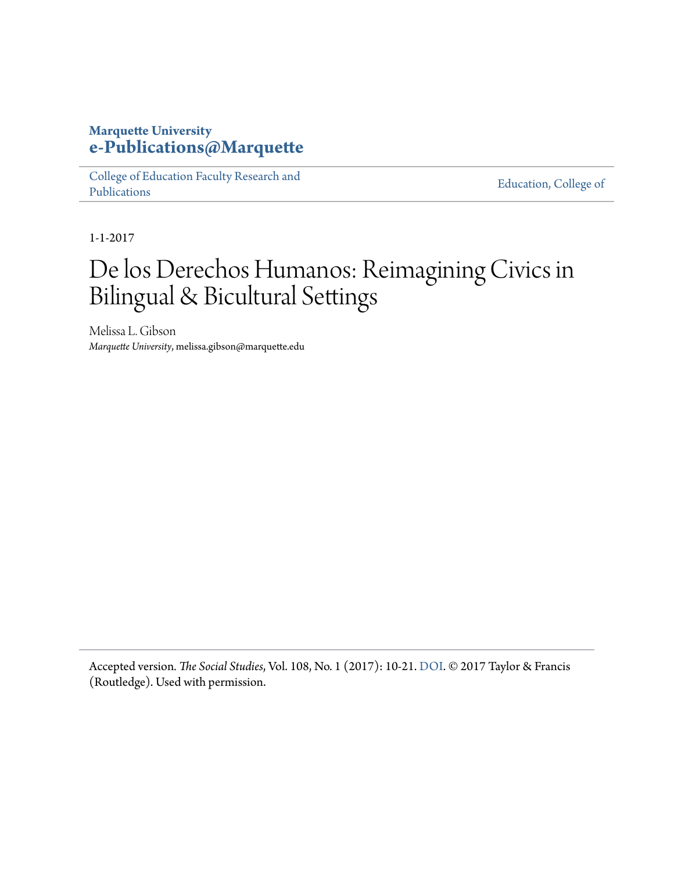### **Marquette University [e-Publications@Marquette](https://epublications.marquette.edu)**

[College of Education Faculty Research and](https://epublications.marquette.edu/edu_fac) [Publications](https://epublications.marquette.edu/edu_fac)

[Education, College of](https://epublications.marquette.edu/education)

1-1-2017

## De los Derechos Humanos: Reimagining Civics in Bilingual & Bicultural Settings

Melissa L. Gibson *Marquette University*, melissa.gibson@marquette.edu

Accepted version*. The Social Studies*, Vol. 108, No. 1 (2017): 10-21. [DOI.](http://dx.doi.org/10.1080/00377996.2016.1237465) © 2017 Taylor & Francis (Routledge). Used with permission.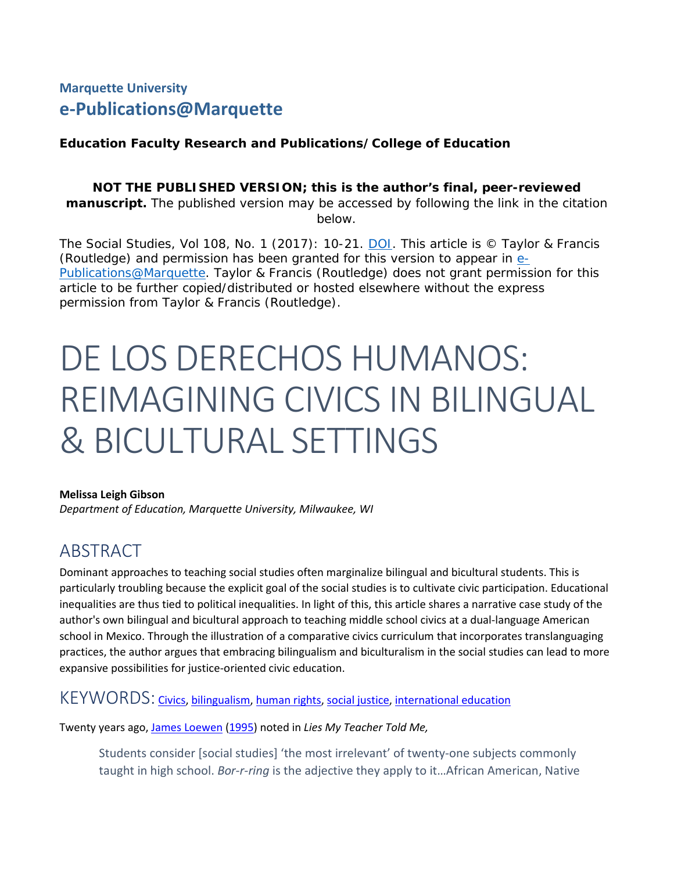### **Marquette University e-Publications@Marquette**

*Education Faculty Research and Publications/College of Education*

#### *NOT THE PUBLISHED VERSION;* **this is the author's final, peer-reviewed manuscript.** The published version may be accessed by following the link in the citation below.

*The Social Studies*, Vol 108, No. 1 (2017): 10-21. [DOI.](https://doi.org/10.1080/00377996.2016.1237465) This article is © Taylor & Francis (Routledge) and permission has been granted for this version to appear in [e-](http://epublications.marquette.edu/)[Publications@Marquette.](http://epublications.marquette.edu/) Taylor & Francis (Routledge) does not grant permission for this article to be further copied/distributed or hosted elsewhere without the express permission from Taylor & Francis (Routledge).

# DE LOS DERECHOS HUMANOS: REIMAGINING CIVICS IN BILINGUAL & BICULTURAL SETTINGS

#### **Melissa Leigh Gibson**

*Department of Education, Marquette University, Milwaukee, WI*

### ABSTRACT

Dominant approaches to teaching social studies often marginalize bilingual and bicultural students. This is particularly troubling because the explicit goal of the social studies is to cultivate civic participation. Educational inequalities are thus tied to political inequalities. In light of this, this article shares a narrative case study of the author's own bilingual and bicultural approach to teaching middle school civics at a dual-language American school in Mexico. Through the illustration of a comparative civics curriculum that incorporates translanguaging practices, the author argues that embracing bilingualism and biculturalism in the social studies can lead to more expansive possibilities for justice-oriented civic education.

### KEYWORDS: [Civics,](http://www.tandfonline.com/keyword/Civics) [bilingualism,](http://www.tandfonline.com/keyword/Bilingualism) [human rights,](http://www.tandfonline.com/keyword/Human+Rights) [social justice,](http://www.tandfonline.com/keyword/Social+Justice) [international education](http://www.tandfonline.com/keyword/International+Education)

Twenty years ago[, James Loewen](#page-14-0) [\(1995\)](http://www.tandfonline.com/doi/full/10.1080/00377996.2016.1237465) noted in *Lies My Teacher Told Me,*

Students consider [social studies] 'the most irrelevant' of twenty-one subjects commonly taught in high school. *Bor-r-ring* is the adjective they apply to it…African American, Native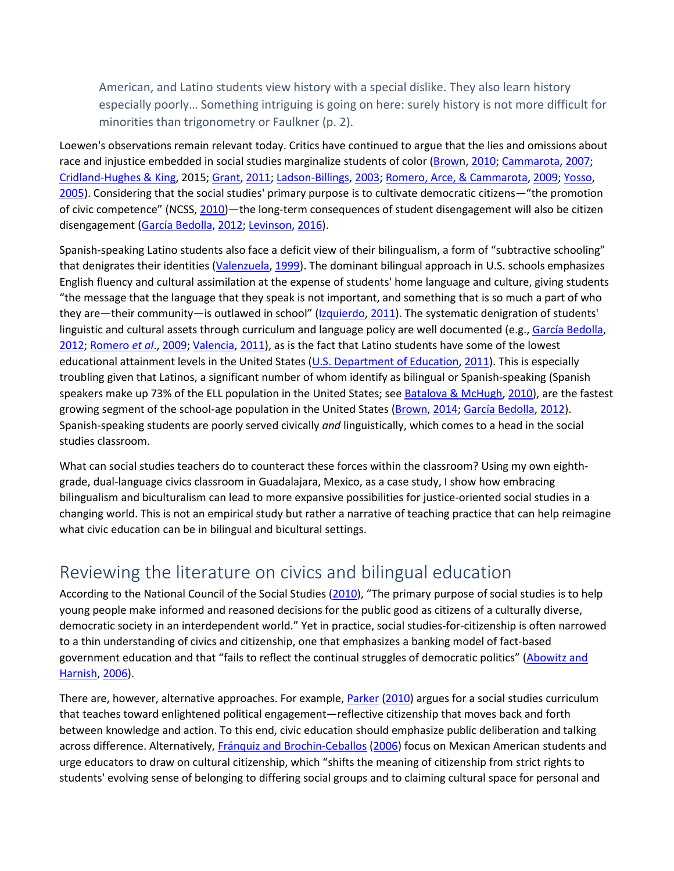American, and Latino students view history with a special dislike. They also learn history especially poorly… Something intriguing is going on here: surely history is not more difficult for minorities than trigonometry or Faulkner (p. 2).

Loewen's observations remain relevant today. Critics have continued to argue that the lies and omissions about race and injustice embedded in social studies marginalize students of color [\(Brown,](#page-12-0) [2010;](http://www.tandfonline.com/doi/full/10.1080/00377996.2016.1237465) [Cammarota,](#page-12-1) [2007;](http://www.tandfonline.com/doi/full/10.1080/00377996.2016.1237465) [Cridland-Hughes & King,](#page-13-0) 2015[; Grant,](#page-14-1) [2011;](http://www.tandfonline.com/doi/full/10.1080/00377996.2016.1237465) [Ladson-Billings,](#page-14-2) [2003;](http://www.tandfonline.com/doi/full/10.1080/00377996.2016.1237465) [Romero, Arce, & Cammarota,](#page-15-0) [2009;](http://www.tandfonline.com/doi/full/10.1080/00377996.2016.1237465) [Yosso,](#page-15-1) [2005\)](http://www.tandfonline.com/doi/full/10.1080/00377996.2016.1237465). Considering that the social studies' primary purpose is to cultivate democratic citizens—"the promotion of civic competence" (NCSS[, 2010\)](http://www.tandfonline.com/doi/full/10.1080/00377996.2016.1237465)—the long-term consequences of student disengagement will also be citizen disengagement [\(García Bedolla,](#page-13-1) [2012;](http://www.tandfonline.com/doi/full/10.1080/00377996.2016.1237465) [Levinson,](#page-14-3) [2016\)](http://www.tandfonline.com/doi/full/10.1080/00377996.2016.1237465).

Spanish-speaking Latino students also face a deficit view of their bilingualism, a form of "subtractive schooling" that denigrates their identities [\(Valenzuela,](#page-15-2) [1999\)](http://www.tandfonline.com/doi/full/10.1080/00377996.2016.1237465). The dominant bilingual approach in U.S. schools emphasizes English fluency and cultural assimilation at the expense of students' home language and culture, giving students "the message that the language that they speak is not important, and something that is so much a part of who they are—their community—is outlawed in school" [\(Izquierdo,](#page-14-4) [2011\)](http://www.tandfonline.com/doi/full/10.1080/00377996.2016.1237465). The systematic denigration of students' linguistic and cultural assets through curriculum and language policy are well documented (e.g., [García Bedolla,](#page-13-1) [2012;](http://www.tandfonline.com/doi/full/10.1080/00377996.2016.1237465) [Romero](#page-15-0) *et al*.[, 2009;](http://www.tandfonline.com/doi/full/10.1080/00377996.2016.1237465) [Valencia,](#page-15-3) [2011\)](http://www.tandfonline.com/doi/full/10.1080/00377996.2016.1237465), as is the fact that Latino students have some of the lowest educational attainment levels in the United States [\(U.S. Department of Education,](#page-15-4) [2011\)](http://www.tandfonline.com/doi/full/10.1080/00377996.2016.1237465). This is especially troubling given that Latinos, a significant number of whom identify as bilingual or Spanish-speaking (Spanish speakers make up 73% of the ELL population in the United States; se[e Batalova & McHugh,](#page-13-1) [2010\)](http://www.tandfonline.com/doi/full/10.1080/00377996.2016.1237465), are the fastest growing segment of the school-age population in the United States [\(Brown,](#page-12-2) [2014;](http://www.tandfonline.com/doi/full/10.1080/00377996.2016.1237465) [García Bedolla,](#page-13-1) [2012\)](http://www.tandfonline.com/doi/full/10.1080/00377996.2016.1237465). Spanish-speaking students are poorly served civically *and* linguistically, which comes to a head in the social studies classroom.

What can social studies teachers do to counteract these forces within the classroom? Using my own eighthgrade, dual-language civics classroom in Guadalajara, Mexico, as a case study, I show how embracing bilingualism and biculturalism can lead to more expansive possibilities for justice-oriented social studies in a changing world. This is not an empirical study but rather a narrative of teaching practice that can help reimagine what civic education can be in bilingual and bicultural settings.

### Reviewing the literature on civics and bilingual education

According to the National Council of the Social Studies [\(2010\)](http://www.tandfonline.com/doi/full/10.1080/00377996.2016.1237465), "The primary purpose of social studies is to help young people make informed and reasoned decisions for the public good as citizens of a culturally diverse, democratic society in an interdependent world." Yet in practice, social studies-for-citizenship is often narrowed to a thin understanding of civics and citizenship, one that emphasizes a banking model of fact-based government education and that "fails to reflect the continual struggles of democratic politics" (Abowitz and [Harnish,](#page-12-3) [2006\)](http://www.tandfonline.com/doi/full/10.1080/00377996.2016.1237465).

There are, however, alternative approaches. For example, [Parker](#page-14-5) [\(2010\)](http://www.tandfonline.com/doi/full/10.1080/00377996.2016.1237465) argues for a social studies curriculum that teaches toward enlightened political engagement—reflective citizenship that moves back and forth between knowledge and action. To this end, civic education should emphasize public deliberation and talking across difference. Alternatively, [Fránquiz and Brochin-Ceballos](#page-13-2) [\(2006\)](http://www.tandfonline.com/doi/full/10.1080/00377996.2016.1237465) focus on Mexican American students and urge educators to draw on cultural citizenship, which "shifts the meaning of citizenship from strict rights to students' evolving sense of belonging to differing social groups and to claiming cultural space for personal and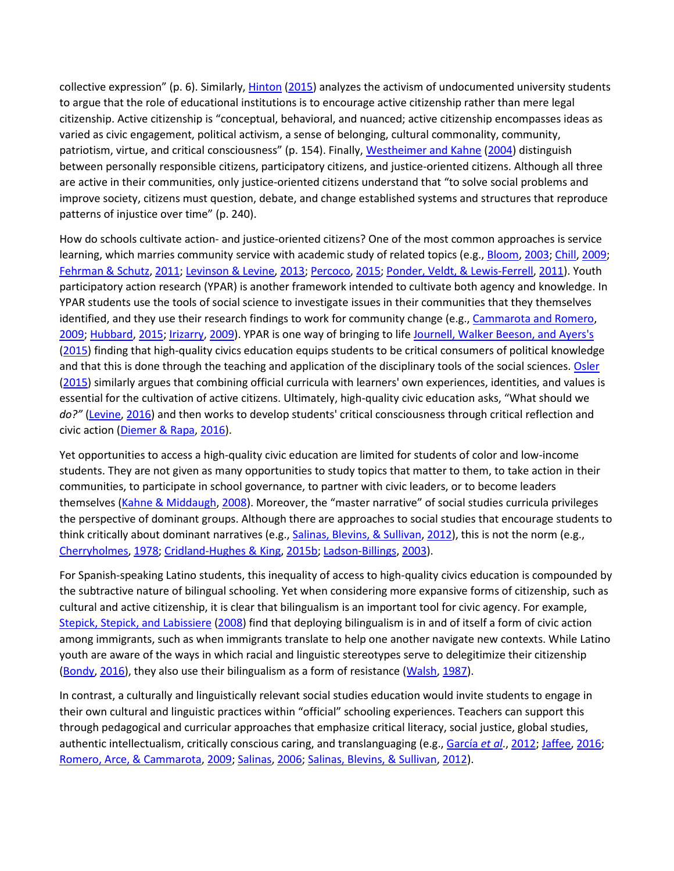collective expression" (p. 6). Similarly[, Hinton](#page-14-6) [\(2015\)](http://www.tandfonline.com/doi/full/10.1080/00377996.2016.1237465) analyzes the activism of undocumented university students to argue that the role of educational institutions is to encourage active citizenship rather than mere legal citizenship. Active citizenship is "conceptual, behavioral, and nuanced; active citizenship encompasses ideas as varied as civic engagement, political activism, a sense of belonging, cultural commonality, community, patriotism, virtue, and critical consciousness" (p. 154). Finally[, Westheimer and Kahne](#page-15-5) [\(2004\)](http://www.tandfonline.com/doi/full/10.1080/00377996.2016.1237465) distinguish between personally responsible citizens, participatory citizens, and justice-oriented citizens. Although all three are active in their communities, only justice-oriented citizens understand that "to solve social problems and improve society, citizens must question, debate, and change established systems and structures that reproduce patterns of injustice over time" (p. 240).

How do schools cultivate action- and justice-oriented citizens? One of the most common approaches is service learning, which marries community service with academic study of related topics (e.g.[, Bloom,](#page-12-4) [2003;](http://www.tandfonline.com/doi/full/10.1080/00377996.2016.1237465) [Chill,](#page-13-3) [2009;](http://www.tandfonline.com/doi/full/10.1080/00377996.2016.1237465) [Fehrman & Schutz,](#page-13-4) [2011;](http://www.tandfonline.com/doi/full/10.1080/00377996.2016.1237465) [Levinson & Levine,](#page-14-3) [2013;](http://www.tandfonline.com/doi/full/10.1080/00377996.2016.1237465) [Percoco,](#page-15-6) [2015;](http://www.tandfonline.com/doi/full/10.1080/00377996.2016.1237465) [Ponder, Veldt, & Lewis-Ferrell,](#page-15-7) [2011\)](http://www.tandfonline.com/doi/full/10.1080/00377996.2016.1237465). Youth participatory action research (YPAR) is another framework intended to cultivate both agency and knowledge. In YPAR students use the tools of social science to investigate issues in their communities that they themselves identified, and they use their research findings to work for community change (e.g.[, Cammarota and Romero,](#page-13-5) [2009;](http://www.tandfonline.com/doi/full/10.1080/00377996.2016.1237465) [Hubbard,](#page-14-7) [2015;](http://www.tandfonline.com/doi/full/10.1080/00377996.2016.1237465) [Irizarry,](#page-14-8) [2009\)](http://www.tandfonline.com/doi/full/10.1080/00377996.2016.1237465). YPAR is one way of bringing to lif[e Journell, Walker Beeson, and Ayers's](#page-14-9) [\(2015\)](http://www.tandfonline.com/doi/full/10.1080/00377996.2016.1237465) finding that high-quality civics education equips students to be critical consumers of political knowledge and that this is done through the teaching and application of the disciplinary tools of the social sciences. [Osler](#page-14-10) [\(2015\)](http://www.tandfonline.com/doi/full/10.1080/00377996.2016.1237465) similarly argues that combining official curricula with learners' own experiences, identities, and values is essential for the cultivation of active citizens. Ultimately, high-quality civic education asks, "What should we *do?"* [\(Levine,](#page-14-11) [2016\)](http://www.tandfonline.com/doi/full/10.1080/00377996.2016.1237465) and then works to develop students' critical consciousness through critical reflection and civic action [\(Diemer & Rapa,](#page-13-6) [2016\)](http://www.tandfonline.com/doi/full/10.1080/00377996.2016.1237465).

Yet opportunities to access a high-quality civic education are limited for students of color and low-income students. They are not given as many opportunities to study topics that matter to them, to take action in their communities, to participate in school governance, to partner with civic leaders, or to become leaders themselves [\(Kahne & Middaugh,](#page-14-12) [2008\)](http://www.tandfonline.com/doi/full/10.1080/00377996.2016.1237465). Moreover, the "master narrative" of social studies curricula privileges the perspective of dominant groups. Although there are approaches to social studies that encourage students to think critically about dominant narratives (e.g., [Salinas, Blevins, & Sullivan,](#page-15-8) [2012\)](http://www.tandfonline.com/doi/full/10.1080/00377996.2016.1237465), this is not the norm (e.g., [Cherryholmes,](#page-13-7) [1978;](http://www.tandfonline.com/doi/full/10.1080/00377996.2016.1237465) [Cridland-Hughes & King,](#page-13-0) [2015b;](http://www.tandfonline.com/doi/full/10.1080/00377996.2016.1237465) [Ladson-Billings,](#page-14-2) [2003\)](http://www.tandfonline.com/doi/full/10.1080/00377996.2016.1237465).

For Spanish-speaking Latino students, this inequality of access to high-quality civics education is compounded by the subtractive nature of bilingual schooling. Yet when considering more expansive forms of citizenship, such as cultural and active citizenship, it is clear that bilingualism is an important tool for civic agency. For example, [Stepick, Stepick, and Labissiere](#page-15-9) [\(2008\)](http://www.tandfonline.com/doi/full/10.1080/00377996.2016.1237465) find that deploying bilingualism is in and of itself a form of civic action among immigrants, such as when immigrants translate to help one another navigate new contexts. While Latino youth are aware of the ways in which racial and linguistic stereotypes serve to delegitimize their citizenship [\(Bondy,](#page-12-5) [2016\)](http://www.tandfonline.com/doi/full/10.1080/00377996.2016.1237465), they also use their bilingualism as a form of resistance [\(Walsh,](#page-15-10) [1987\)](http://www.tandfonline.com/doi/full/10.1080/00377996.2016.1237465).

In contrast, a culturally and linguistically relevant social studies education would invite students to engage in their own cultural and linguistic practices within "official" schooling experiences. Teachers can support this through pedagogical and curricular approaches that emphasize critical literacy, social justice, global studies, authentic intellectualism, critically conscious caring, and translanguaging (e.g., [García](#page-13-1) *et al*.[, 2012;](http://www.tandfonline.com/doi/full/10.1080/00377996.2016.1237465) [Jaffee,](#page-14-13) [2016;](http://www.tandfonline.com/doi/full/10.1080/00377996.2016.1237465) [Romero, Arce, & Cammarota,](#page-15-0) [2009;](http://www.tandfonline.com/doi/full/10.1080/00377996.2016.1237465) [Salinas,](#page-15-11) [2006;](http://www.tandfonline.com/doi/full/10.1080/00377996.2016.1237465) [Salinas, Blevins, & Sullivan,](#page-15-8) [2012\)](http://www.tandfonline.com/doi/full/10.1080/00377996.2016.1237465).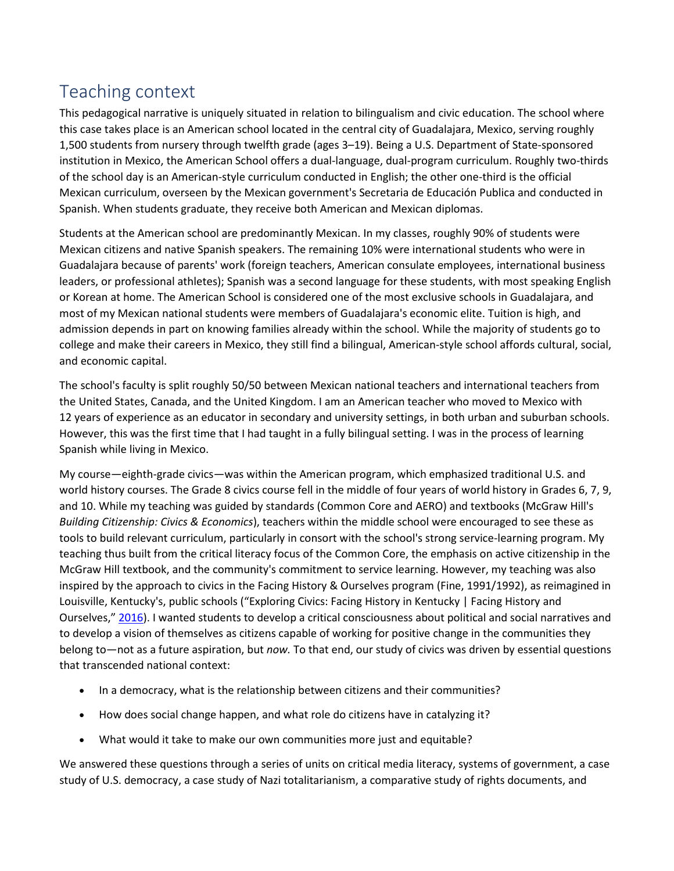### Teaching context

This pedagogical narrative is uniquely situated in relation to bilingualism and civic education. The school where this case takes place is an American school located in the central city of Guadalajara, Mexico, serving roughly 1,500 students from nursery through twelfth grade (ages 3–19). Being a U.S. Department of State-sponsored institution in Mexico, the American School offers a dual-language, dual-program curriculum. Roughly two-thirds of the school day is an American-style curriculum conducted in English; the other one-third is the official Mexican curriculum, overseen by the Mexican government's Secretaria de Educación Publica and conducted in Spanish. When students graduate, they receive both American and Mexican diplomas.

Students at the American school are predominantly Mexican. In my classes, roughly 90% of students were Mexican citizens and native Spanish speakers. The remaining 10% were international students who were in Guadalajara because of parents' work (foreign teachers, American consulate employees, international business leaders, or professional athletes); Spanish was a second language for these students, with most speaking English or Korean at home. The American School is considered one of the most exclusive schools in Guadalajara, and most of my Mexican national students were members of Guadalajara's economic elite. Tuition is high, and admission depends in part on knowing families already within the school. While the majority of students go to college and make their careers in Mexico, they still find a bilingual, American-style school affords cultural, social, and economic capital.

The school's faculty is split roughly 50/50 between Mexican national teachers and international teachers from the United States, Canada, and the United Kingdom. I am an American teacher who moved to Mexico with 12 years of experience as an educator in secondary and university settings, in both urban and suburban schools. However, this was the first time that I had taught in a fully bilingual setting. I was in the process of learning Spanish while living in Mexico.

My course—eighth-grade civics—was within the American program, which emphasized traditional U.S. and world history courses. The Grade 8 civics course fell in the middle of four years of world history in Grades 6, 7, 9, and 10. While my teaching was guided by standards (Common Core and AERO) and textbooks (McGraw Hill's *Building Citizenship: Civics & Economics*), teachers within the middle school were encouraged to see these as tools to build relevant curriculum, particularly in consort with the school's strong service-learning program. My teaching thus built from the critical literacy focus of the Common Core, the emphasis on active citizenship in the McGraw Hill textbook, and the community's commitment to service learning. However, my teaching was also inspired by the approach to civics in the Facing History & Ourselves program (Fine, 1991/1992), as reimagined in Louisville, Kentucky's, public schools ("Exploring Civics: Facing History in Kentucky | Facing History and Ourselves," [2016\)](http://www.tandfonline.com/doi/full/10.1080/00377996.2016.1237465). I wanted students to develop a critical consciousness about political and social narratives and to develop a vision of themselves as citizens capable of working for positive change in the communities they belong to—not as a future aspiration, but *now.* To that end, our study of civics was driven by essential questions that transcended national context:

- In a democracy, what is the relationship between citizens and their communities?
- How does social change happen, and what role do citizens have in catalyzing it?
- What would it take to make our own communities more just and equitable?

We answered these questions through a series of units on critical media literacy, systems of government, a case study of U.S. democracy, a case study of Nazi totalitarianism, a comparative study of rights documents, and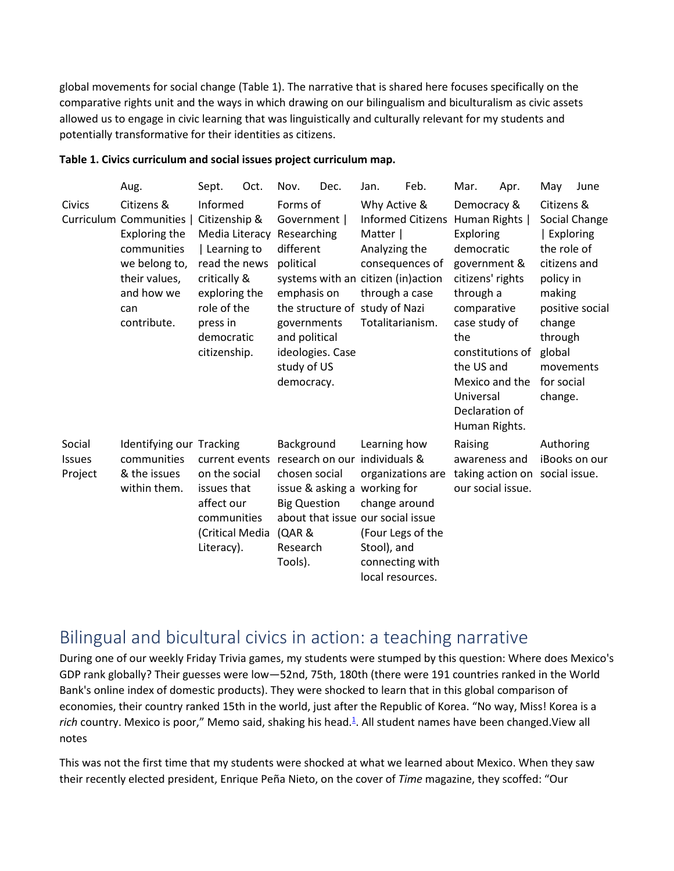global movements for social change (Table 1). The narrative that is shared here focuses specifically on the comparative rights unit and the ways in which drawing on our bilingualism and biculturalism as civic assets allowed us to engage in civic learning that was linguistically and culturally relevant for my students and potentially transformative for their identities as citizens.

|                                    | Aug.                                                                                                                                         | Sept.                                                                                                                                                                               | Oct. | Nov.                                                                                                                                                                                 | Dec.                                                                                               | Jan.                                                                                                                                                                         | Feb.                                                                                           | Mar.                                                                                                                                                                                                                               | Apr. | May                                                                                                                                                                                      | June          |
|------------------------------------|----------------------------------------------------------------------------------------------------------------------------------------------|-------------------------------------------------------------------------------------------------------------------------------------------------------------------------------------|------|--------------------------------------------------------------------------------------------------------------------------------------------------------------------------------------|----------------------------------------------------------------------------------------------------|------------------------------------------------------------------------------------------------------------------------------------------------------------------------------|------------------------------------------------------------------------------------------------|------------------------------------------------------------------------------------------------------------------------------------------------------------------------------------------------------------------------------------|------|------------------------------------------------------------------------------------------------------------------------------------------------------------------------------------------|---------------|
| <b>Civics</b>                      | Citizens &<br>Curriculum Communities  <br>Exploring the<br>communities<br>we belong to,<br>their values,<br>and how we<br>can<br>contribute. | Informed<br>Citizenship &<br>Media Literacy Researching<br>  Learning to<br>read the news<br>critically &<br>exploring the<br>role of the<br>press in<br>democratic<br>citizenship. |      | Forms of<br>Government  <br>different<br>political<br>emphasis on<br>the structure of study of Nazi<br>governments<br>and political<br>ideologies. Case<br>study of US<br>democracy. |                                                                                                    | Why Active &<br>Informed Citizens Human Rights  <br>Matter  <br>Analyzing the<br>consequences of<br>systems with an citizen (in)action<br>through a case<br>Totalitarianism. |                                                                                                | Democracy &<br>Exploring<br>democratic<br>government &<br>citizens' rights<br>through a<br>comparative<br>case study of<br>the<br>constitutions of<br>the US and<br>Mexico and the<br>Universal<br>Declaration of<br>Human Rights. |      | Citizens &<br>Social Change<br>  Exploring<br>the role of<br>citizens and<br>policy in<br>making<br>positive social<br>change<br>through<br>global<br>movements<br>for social<br>change. |               |
| Social<br><b>Issues</b><br>Project | Identifying our Tracking<br>communities<br>& the issues<br>within them.                                                                      | current events<br>on the social<br>issues that<br>affect our<br>communities<br>(Critical Media<br>Literacy).                                                                        |      | Background<br>chosen social<br><b>Big Question</b><br>(QAR &<br>Research<br>Tools).                                                                                                  | research on our individuals &<br>issue & asking a working for<br>about that issue our social issue | Learning how<br>Stool), and                                                                                                                                                  | organizations are<br>change around<br>(Four Legs of the<br>connecting with<br>local resources. | Raising<br>awareness and<br>taking action on social issue.<br>our social issue.                                                                                                                                                    |      | Authoring                                                                                                                                                                                | iBooks on our |

#### **Table 1. Civics curriculum and social issues project curriculum map.**

### Bilingual and bicultural civics in action: a teaching narrative

During one of our weekly Friday Trivia games, my students were stumped by this question: Where does Mexico's GDP rank globally? Their guesses were low—52nd, 75th, 180th (there were 191 countries ranked in the World Bank's online index of domestic products). They were shocked to learn that in this global comparison of economies, their country ranked 15th in the world, just after the Republic of Korea. "No way, Miss! Korea is a rich country. Mexico is poor," Memo said, shaking his head.<sup>1</sup>. All student names have been changed.View all notes

This was not the first time that my students were shocked at what we learned about Mexico. When they saw their recently elected president, Enrique Peña Nieto, on the cover of *Time* magazine, they scoffed: "Our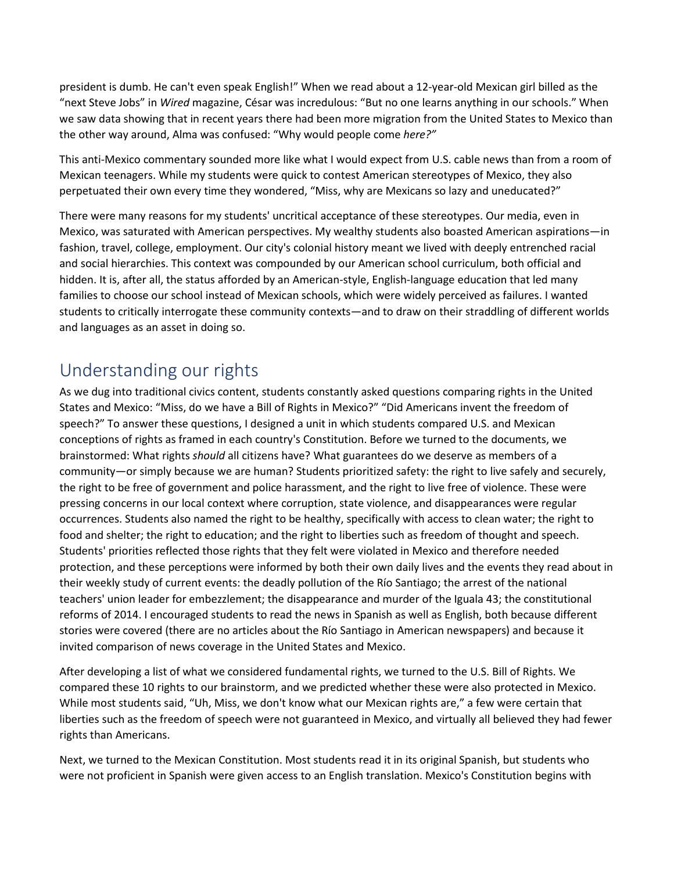president is dumb. He can't even speak English!" When we read about a 12-year-old Mexican girl billed as the "next Steve Jobs" in *Wired* magazine, César was incredulous: "But no one learns anything in our schools." When we saw data showing that in recent years there had been more migration from the United States to Mexico than the other way around, Alma was confused: "Why would people come *here?"*

This anti-Mexico commentary sounded more like what I would expect from U.S. cable news than from a room of Mexican teenagers. While my students were quick to contest American stereotypes of Mexico, they also perpetuated their own every time they wondered, "Miss, why are Mexicans so lazy and uneducated?"

There were many reasons for my students' uncritical acceptance of these stereotypes. Our media, even in Mexico, was saturated with American perspectives. My wealthy students also boasted American aspirations—in fashion, travel, college, employment. Our city's colonial history meant we lived with deeply entrenched racial and social hierarchies. This context was compounded by our American school curriculum, both official and hidden. It is, after all, the status afforded by an American-style, English-language education that led many families to choose our school instead of Mexican schools, which were widely perceived as failures. I wanted students to critically interrogate these community contexts—and to draw on their straddling of different worlds and languages as an asset in doing so.

### Understanding our rights

As we dug into traditional civics content, students constantly asked questions comparing rights in the United States and Mexico: "Miss, do we have a Bill of Rights in Mexico?" "Did Americans invent the freedom of speech?" To answer these questions, I designed a unit in which students compared U.S. and Mexican conceptions of rights as framed in each country's Constitution. Before we turned to the documents, we brainstormed: What rights *should* all citizens have? What guarantees do we deserve as members of a community—or simply because we are human? Students prioritized safety: the right to live safely and securely, the right to be free of government and police harassment, and the right to live free of violence. These were pressing concerns in our local context where corruption, state violence, and disappearances were regular occurrences. Students also named the right to be healthy, specifically with access to clean water; the right to food and shelter; the right to education; and the right to liberties such as freedom of thought and speech. Students' priorities reflected those rights that they felt were violated in Mexico and therefore needed protection, and these perceptions were informed by both their own daily lives and the events they read about in their weekly study of current events: the deadly pollution of the Río Santiago; the arrest of the national teachers' union leader for embezzlement; the disappearance and murder of the Iguala 43; the constitutional reforms of 2014. I encouraged students to read the news in Spanish as well as English, both because different stories were covered (there are no articles about the Río Santiago in American newspapers) and because it invited comparison of news coverage in the United States and Mexico.

After developing a list of what we considered fundamental rights, we turned to the U.S. Bill of Rights. We compared these 10 rights to our brainstorm, and we predicted whether these were also protected in Mexico. While most students said, "Uh, Miss, we don't know what our Mexican rights are," a few were certain that liberties such as the freedom of speech were not guaranteed in Mexico, and virtually all believed they had fewer rights than Americans.

Next, we turned to the Mexican Constitution. Most students read it in its original Spanish, but students who were not proficient in Spanish were given access to an English translation. Mexico's Constitution begins with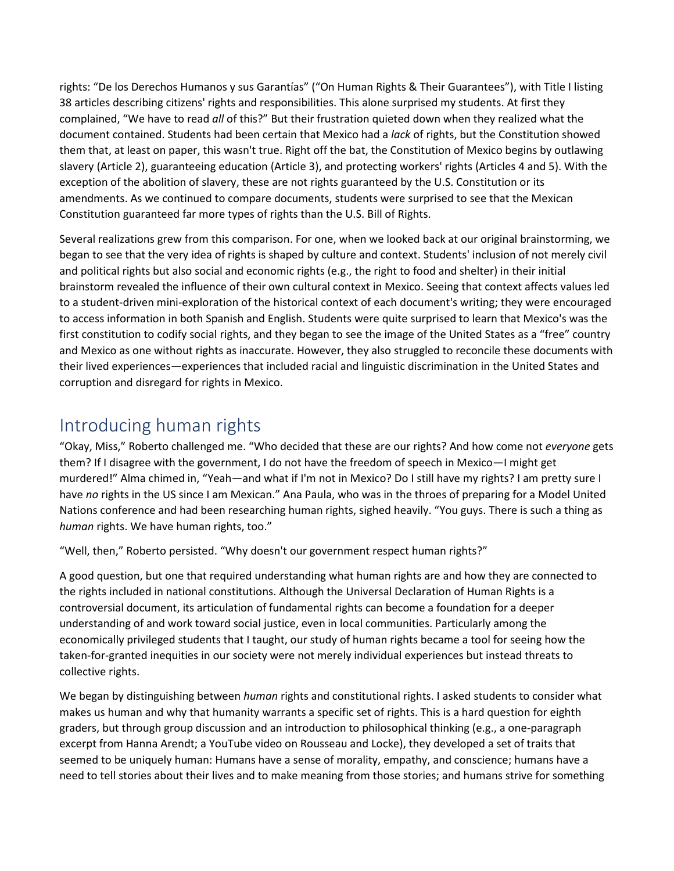rights: "De los Derechos Humanos y sus Garantías" ("On Human Rights & Their Guarantees"), with Title I listing 38 articles describing citizens' rights and responsibilities. This alone surprised my students. At first they complained, "We have to read *all* of this?" But their frustration quieted down when they realized what the document contained. Students had been certain that Mexico had a *lack* of rights, but the Constitution showed them that, at least on paper, this wasn't true. Right off the bat, the Constitution of Mexico begins by outlawing slavery (Article 2), guaranteeing education (Article 3), and protecting workers' rights (Articles 4 and 5). With the exception of the abolition of slavery, these are not rights guaranteed by the U.S. Constitution or its amendments. As we continued to compare documents, students were surprised to see that the Mexican Constitution guaranteed far more types of rights than the U.S. Bill of Rights.

Several realizations grew from this comparison. For one, when we looked back at our original brainstorming, we began to see that the very idea of rights is shaped by culture and context. Students' inclusion of not merely civil and political rights but also social and economic rights (e.g., the right to food and shelter) in their initial brainstorm revealed the influence of their own cultural context in Mexico. Seeing that context affects values led to a student-driven mini-exploration of the historical context of each document's writing; they were encouraged to access information in both Spanish and English. Students were quite surprised to learn that Mexico's was the first constitution to codify social rights, and they began to see the image of the United States as a "free" country and Mexico as one without rights as inaccurate. However, they also struggled to reconcile these documents with their lived experiences—experiences that included racial and linguistic discrimination in the United States and corruption and disregard for rights in Mexico.

### Introducing human rights

"Okay, Miss," Roberto challenged me. "Who decided that these are our rights? And how come not *everyone* gets them? If I disagree with the government, I do not have the freedom of speech in Mexico—I might get murdered!" Alma chimed in, "Yeah—and what if I'm not in Mexico? Do I still have my rights? I am pretty sure I have *no* rights in the US since I am Mexican." Ana Paula, who was in the throes of preparing for a Model United Nations conference and had been researching human rights, sighed heavily. "You guys. There is such a thing as *human* rights. We have human rights, too."

"Well, then," Roberto persisted. "Why doesn't our government respect human rights?"

A good question, but one that required understanding what human rights are and how they are connected to the rights included in national constitutions. Although the Universal Declaration of Human Rights is a controversial document, its articulation of fundamental rights can become a foundation for a deeper understanding of and work toward social justice, even in local communities. Particularly among the economically privileged students that I taught, our study of human rights became a tool for seeing how the taken-for-granted inequities in our society were not merely individual experiences but instead threats to collective rights.

We began by distinguishing between *human* rights and constitutional rights. I asked students to consider what makes us human and why that humanity warrants a specific set of rights. This is a hard question for eighth graders, but through group discussion and an introduction to philosophical thinking (e.g., a one-paragraph excerpt from Hanna Arendt; a YouTube video on Rousseau and Locke), they developed a set of traits that seemed to be uniquely human: Humans have a sense of morality, empathy, and conscience; humans have a need to tell stories about their lives and to make meaning from those stories; and humans strive for something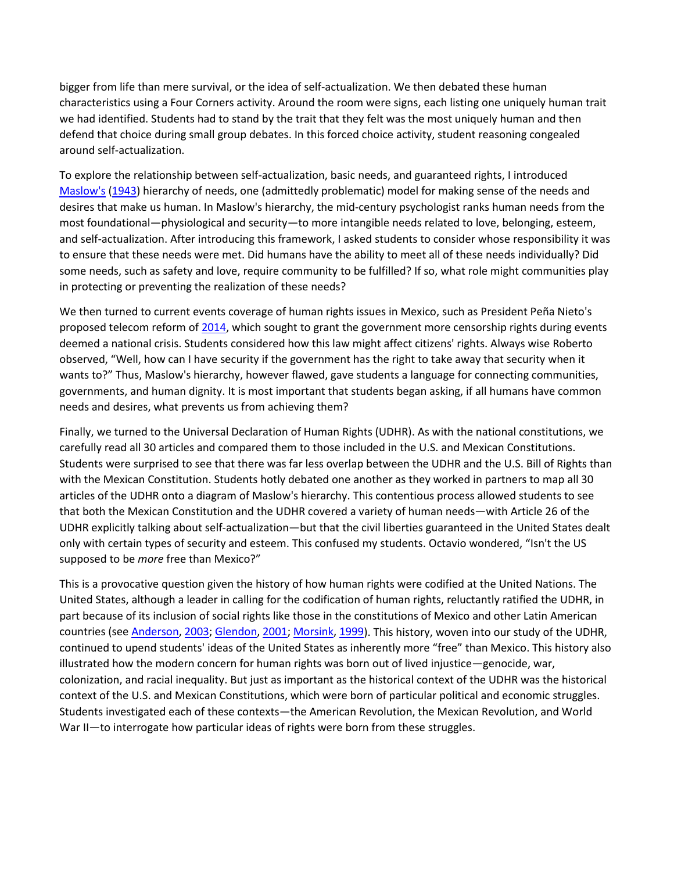bigger from life than mere survival, or the idea of self-actualization. We then debated these human characteristics using a Four Corners activity. Around the room were signs, each listing one uniquely human trait we had identified. Students had to stand by the trait that they felt was the most uniquely human and then defend that choice during small group debates. In this forced choice activity, student reasoning congealed around self-actualization.

To explore the relationship between self-actualization, basic needs, and guaranteed rights, I introduced [Maslow's](#page-14-14) [\(1943\)](http://www.tandfonline.com/doi/full/10.1080/00377996.2016.1237465) hierarchy of needs, one (admittedly problematic) model for making sense of the needs and desires that make us human. In Maslow's hierarchy, the mid-century psychologist ranks human needs from the most foundational—physiological and security—to more intangible needs related to love, belonging, esteem, and self-actualization. After introducing this framework, I asked students to consider whose responsibility it was to ensure that these needs were met. Did humans have the ability to meet all of these needs individually? Did some needs, such as safety and love, require community to be fulfilled? If so, what role might communities play in protecting or preventing the realization of these needs?

We then turned to current events coverage of human rights issues in Mexico, such as President Peña Nieto's proposed telecom reform of [2014,](http://www.tandfonline.com/doi/full/10.1080/00377996.2016.1237465) which sought to grant the government more censorship rights during events deemed a national crisis. Students considered how this law might affect citizens' rights. Always wise Roberto observed, "Well, how can I have security if the government has the right to take away that security when it wants to?" Thus, Maslow's hierarchy, however flawed, gave students a language for connecting communities, governments, and human dignity. It is most important that students began asking, if all humans have common needs and desires, what prevents us from achieving them?

Finally, we turned to the Universal Declaration of Human Rights (UDHR). As with the national constitutions, we carefully read all 30 articles and compared them to those included in the U.S. and Mexican Constitutions. Students were surprised to see that there was far less overlap between the UDHR and the U.S. Bill of Rights than with the Mexican Constitution. Students hotly debated one another as they worked in partners to map all 30 articles of the UDHR onto a diagram of Maslow's hierarchy. This contentious process allowed students to see that both the Mexican Constitution and the UDHR covered a variety of human needs—with Article 26 of the UDHR explicitly talking about self-actualization—but that the civil liberties guaranteed in the United States dealt only with certain types of security and esteem. This confused my students. Octavio wondered, "Isn't the US supposed to be *more* free than Mexico?"

This is a provocative question given the history of how human rights were codified at the United Nations. The United States, although a leader in calling for the codification of human rights, reluctantly ratified the UDHR, in part because of its inclusion of social rights like those in the constitutions of Mexico and other Latin American countries (see [Anderson,](#page-12-4) [2003;](http://www.tandfonline.com/doi/full/10.1080/00377996.2016.1237465) [Glendon,](#page-13-8) [2001;](http://www.tandfonline.com/doi/full/10.1080/00377996.2016.1237465) [Morsink,](#page-14-15) [1999\)](http://www.tandfonline.com/doi/full/10.1080/00377996.2016.1237465). This history, woven into our study of the UDHR, continued to upend students' ideas of the United States as inherently more "free" than Mexico. This history also illustrated how the modern concern for human rights was born out of lived injustice—genocide, war, colonization, and racial inequality. But just as important as the historical context of the UDHR was the historical context of the U.S. and Mexican Constitutions, which were born of particular political and economic struggles. Students investigated each of these contexts—the American Revolution, the Mexican Revolution, and World War II—to interrogate how particular ideas of rights were born from these struggles.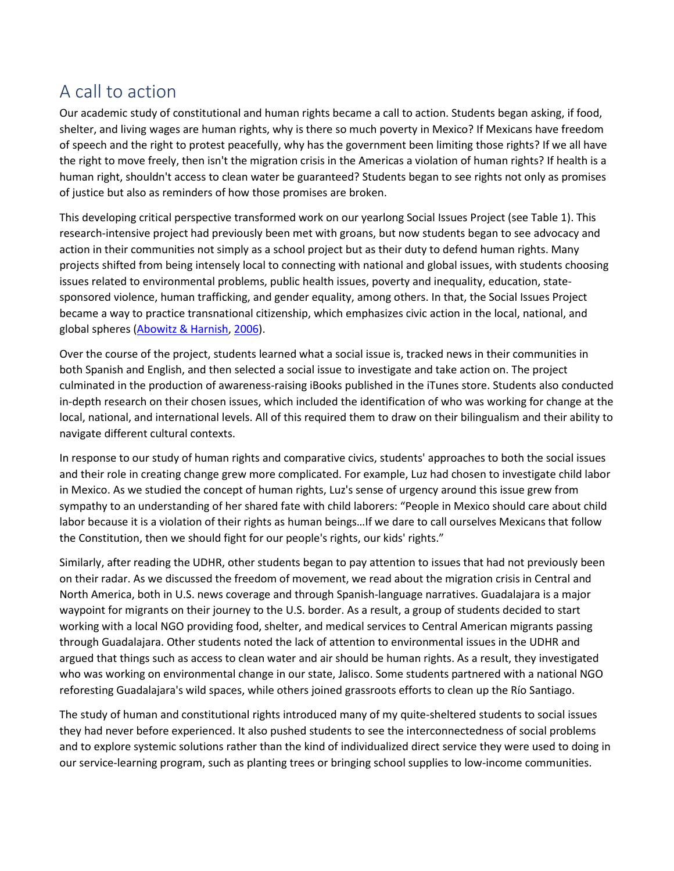### A call to action

Our academic study of constitutional and human rights became a call to action. Students began asking, if food, shelter, and living wages are human rights, why is there so much poverty in Mexico? If Mexicans have freedom of speech and the right to protest peacefully, why has the government been limiting those rights? If we all have the right to move freely, then isn't the migration crisis in the Americas a violation of human rights? If health is a human right, shouldn't access to clean water be guaranteed? Students began to see rights not only as promises of justice but also as reminders of how those promises are broken.

This developing critical perspective transformed work on our yearlong Social Issues Project (see Table 1). This research-intensive project had previously been met with groans, but now students began to see advocacy and action in their communities not simply as a school project but as their duty to defend human rights. Many projects shifted from being intensely local to connecting with national and global issues, with students choosing issues related to environmental problems, public health issues, poverty and inequality, education, statesponsored violence, human trafficking, and gender equality, among others. In that, the Social Issues Project became a way to practice transnational citizenship, which emphasizes civic action in the local, national, and global spheres [\(Abowitz & Harnish,](#page-12-3) [2006\)](http://www.tandfonline.com/doi/full/10.1080/00377996.2016.1237465).

Over the course of the project, students learned what a social issue is, tracked news in their communities in both Spanish and English, and then selected a social issue to investigate and take action on. The project culminated in the production of awareness-raising iBooks published in the iTunes store. Students also conducted in-depth research on their chosen issues, which included the identification of who was working for change at the local, national, and international levels. All of this required them to draw on their bilingualism and their ability to navigate different cultural contexts.

In response to our study of human rights and comparative civics, students' approaches to both the social issues and their role in creating change grew more complicated. For example, Luz had chosen to investigate child labor in Mexico. As we studied the concept of human rights, Luz's sense of urgency around this issue grew from sympathy to an understanding of her shared fate with child laborers: "People in Mexico should care about child labor because it is a violation of their rights as human beings…If we dare to call ourselves Mexicans that follow the Constitution, then we should fight for our people's rights, our kids' rights."

Similarly, after reading the UDHR, other students began to pay attention to issues that had not previously been on their radar. As we discussed the freedom of movement, we read about the migration crisis in Central and North America, both in U.S. news coverage and through Spanish-language narratives. Guadalajara is a major waypoint for migrants on their journey to the U.S. border. As a result, a group of students decided to start working with a local NGO providing food, shelter, and medical services to Central American migrants passing through Guadalajara. Other students noted the lack of attention to environmental issues in the UDHR and argued that things such as access to clean water and air should be human rights. As a result, they investigated who was working on environmental change in our state, Jalisco. Some students partnered with a national NGO reforesting Guadalajara's wild spaces, while others joined grassroots efforts to clean up the Río Santiago.

The study of human and constitutional rights introduced many of my quite-sheltered students to social issues they had never before experienced. It also pushed students to see the interconnectedness of social problems and to explore systemic solutions rather than the kind of individualized direct service they were used to doing in our service-learning program, such as planting trees or bringing school supplies to low-income communities.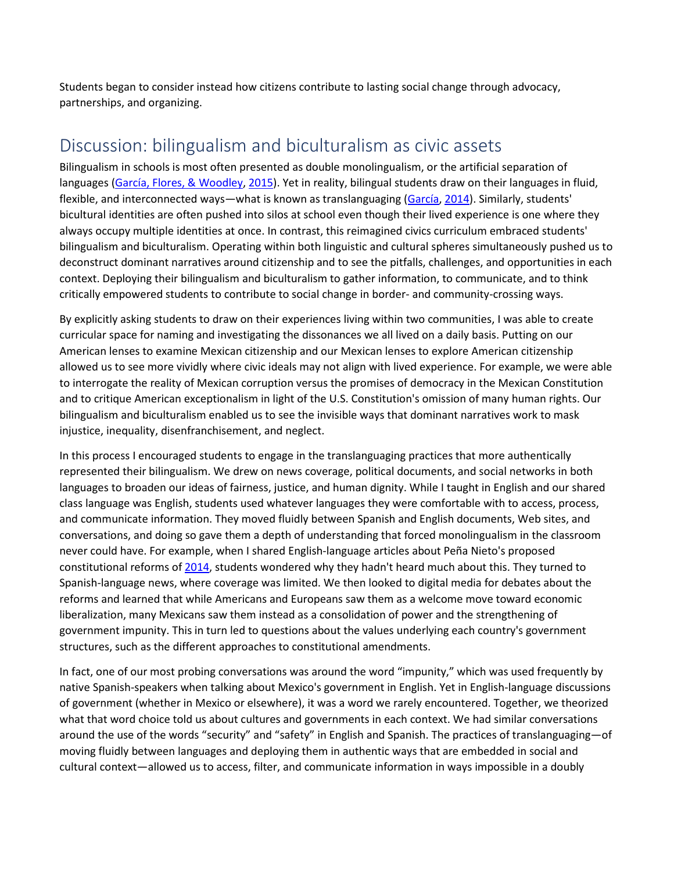Students began to consider instead how citizens contribute to lasting social change through advocacy, partnerships, and organizing.

### Discussion: bilingualism and biculturalism as civic assets

Bilingualism in schools is most often presented as double monolingualism, or the artificial separation of languages [\(García, Flores, & Woodley,](#page-13-9) [2015\)](http://www.tandfonline.com/doi/full/10.1080/00377996.2016.1237465). Yet in reality, bilingual students draw on their languages in fluid, flexible, and interconnected ways—what is known as translanguaging [\(García,](#page-13-10) [2014\)](http://www.tandfonline.com/doi/full/10.1080/00377996.2016.1237465). Similarly, students' bicultural identities are often pushed into silos at school even though their lived experience is one where they always occupy multiple identities at once. In contrast, this reimagined civics curriculum embraced students' bilingualism and biculturalism. Operating within both linguistic and cultural spheres simultaneously pushed us to deconstruct dominant narratives around citizenship and to see the pitfalls, challenges, and opportunities in each context. Deploying their bilingualism and biculturalism to gather information, to communicate, and to think critically empowered students to contribute to social change in border- and community-crossing ways.

By explicitly asking students to draw on their experiences living within two communities, I was able to create curricular space for naming and investigating the dissonances we all lived on a daily basis. Putting on our American lenses to examine Mexican citizenship and our Mexican lenses to explore American citizenship allowed us to see more vividly where civic ideals may not align with lived experience. For example, we were able to interrogate the reality of Mexican corruption versus the promises of democracy in the Mexican Constitution and to critique American exceptionalism in light of the U.S. Constitution's omission of many human rights. Our bilingualism and biculturalism enabled us to see the invisible ways that dominant narratives work to mask injustice, inequality, disenfranchisement, and neglect.

In this process I encouraged students to engage in the translanguaging practices that more authentically represented their bilingualism. We drew on news coverage, political documents, and social networks in both languages to broaden our ideas of fairness, justice, and human dignity. While I taught in English and our shared class language was English, students used whatever languages they were comfortable with to access, process, and communicate information. They moved fluidly between Spanish and English documents, Web sites, and conversations, and doing so gave them a depth of understanding that forced monolingualism in the classroom never could have. For example, when I shared English-language articles about Peña Nieto's proposed constitutional reforms of [2014,](http://www.tandfonline.com/doi/full/10.1080/00377996.2016.1237465) students wondered why they hadn't heard much about this. They turned to Spanish-language news, where coverage was limited. We then looked to digital media for debates about the reforms and learned that while Americans and Europeans saw them as a welcome move toward economic liberalization, many Mexicans saw them instead as a consolidation of power and the strengthening of government impunity. This in turn led to questions about the values underlying each country's government structures, such as the different approaches to constitutional amendments.

In fact, one of our most probing conversations was around the word "impunity," which was used frequently by native Spanish-speakers when talking about Mexico's government in English. Yet in English-language discussions of government (whether in Mexico or elsewhere), it was a word we rarely encountered. Together, we theorized what that word choice told us about cultures and governments in each context. We had similar conversations around the use of the words "security" and "safety" in English and Spanish. The practices of translanguaging—of moving fluidly between languages and deploying them in authentic ways that are embedded in social and cultural context—allowed us to access, filter, and communicate information in ways impossible in a doubly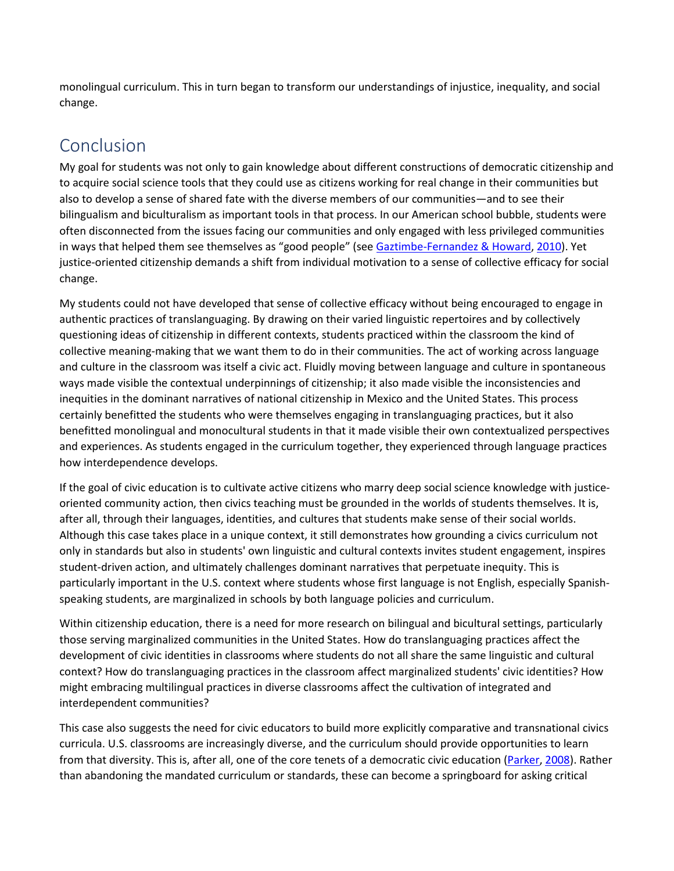monolingual curriculum. This in turn began to transform our understandings of injustice, inequality, and social change.

### Conclusion

My goal for students was not only to gain knowledge about different constructions of democratic citizenship and to acquire social science tools that they could use as citizens working for real change in their communities but also to develop a sense of shared fate with the diverse members of our communities—and to see their bilingualism and biculturalism as important tools in that process. In our American school bubble, students were often disconnected from the issues facing our communities and only engaged with less privileged communities in ways that helped them see themselves as "good people" (see [Gaztimbe-Fernandez & Howard,](#page-13-11) [2010\)](http://www.tandfonline.com/doi/full/10.1080/00377996.2016.1237465). Yet justice-oriented citizenship demands a shift from individual motivation to a sense of collective efficacy for social change.

My students could not have developed that sense of collective efficacy without being encouraged to engage in authentic practices of translanguaging. By drawing on their varied linguistic repertoires and by collectively questioning ideas of citizenship in different contexts, students practiced within the classroom the kind of collective meaning-making that we want them to do in their communities. The act of working across language and culture in the classroom was itself a civic act. Fluidly moving between language and culture in spontaneous ways made visible the contextual underpinnings of citizenship; it also made visible the inconsistencies and inequities in the dominant narratives of national citizenship in Mexico and the United States. This process certainly benefitted the students who were themselves engaging in translanguaging practices, but it also benefitted monolingual and monocultural students in that it made visible their own contextualized perspectives and experiences. As students engaged in the curriculum together, they experienced through language practices how interdependence develops.

If the goal of civic education is to cultivate active citizens who marry deep social science knowledge with justiceoriented community action, then civics teaching must be grounded in the worlds of students themselves. It is, after all, through their languages, identities, and cultures that students make sense of their social worlds. Although this case takes place in a unique context, it still demonstrates how grounding a civics curriculum not only in standards but also in students' own linguistic and cultural contexts invites student engagement, inspires student-driven action, and ultimately challenges dominant narratives that perpetuate inequity. This is particularly important in the U.S. context where students whose first language is not English, especially Spanishspeaking students, are marginalized in schools by both language policies and curriculum.

Within citizenship education, there is a need for more research on bilingual and bicultural settings, particularly those serving marginalized communities in the United States. How do translanguaging practices affect the development of civic identities in classrooms where students do not all share the same linguistic and cultural context? How do translanguaging practices in the classroom affect marginalized students' civic identities? How might embracing multilingual practices in diverse classrooms affect the cultivation of integrated and interdependent communities?

This case also suggests the need for civic educators to build more explicitly comparative and transnational civics curricula. U.S. classrooms are increasingly diverse, and the curriculum should provide opportunities to learn from that diversity. This is, after all, one of the core tenets of a democratic civic education [\(Parker,](#page-15-12) [2008\)](http://www.tandfonline.com/doi/full/10.1080/00377996.2016.1237465). Rather than abandoning the mandated curriculum or standards, these can become a springboard for asking critical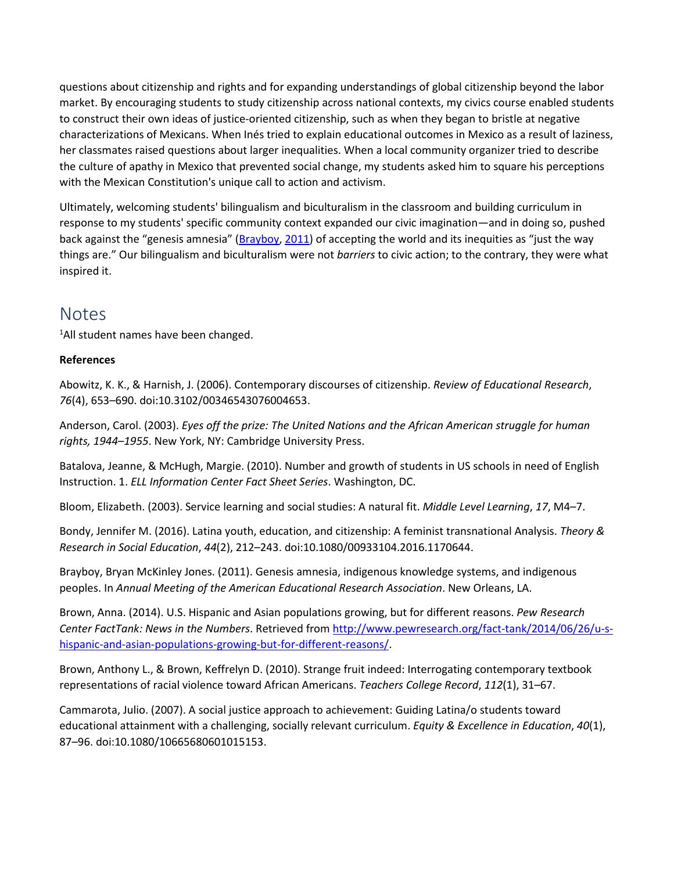questions about citizenship and rights and for expanding understandings of global citizenship beyond the labor market. By encouraging students to study citizenship across national contexts, my civics course enabled students to construct their own ideas of justice-oriented citizenship, such as when they began to bristle at negative characterizations of Mexicans. When Inés tried to explain educational outcomes in Mexico as a result of laziness, her classmates raised questions about larger inequalities. When a local community organizer tried to describe the culture of apathy in Mexico that prevented social change, my students asked him to square his perceptions with the Mexican Constitution's unique call to action and activism.

Ultimately, welcoming students' bilingualism and biculturalism in the classroom and building curriculum in response to my students' specific community context expanded our civic imagination—and in doing so, pushed back against the "genesis amnesia" [\(Brayboy,](#page-12-6) [2011\)](http://www.tandfonline.com/doi/full/10.1080/00377996.2016.1237465) of accepting the world and its inequities as "just the way things are." Our bilingualism and biculturalism were not *barriers* to civic action; to the contrary, they were what inspired it.

### Notes

1 All student names have been changed.

#### **References**

<span id="page-12-3"></span>Abowitz, K. K., & Harnish, J. (2006). Contemporary discourses of citizenship. *Review of Educational Research*, *76*(4), 653–690. doi:10.3102/00346543076004653.

Anderson, Carol. (2003). *Eyes off the prize: The United Nations and the African American struggle for human rights, 1944–1955*. New York, NY: Cambridge University Press.

<span id="page-12-4"></span>Batalova, Jeanne, & McHugh, Margie. (2010). Number and growth of students in US schools in need of English Instruction. 1. *ELL Information Center Fact Sheet Series*. Washington, DC.

Bloom, Elizabeth. (2003). Service learning and social studies: A natural fit. *Middle Level Learning*, *17*, M4–7.

<span id="page-12-5"></span>Bondy, Jennifer M. (2016). Latina youth, education, and citizenship: A feminist transnational Analysis. *Theory & Research in Social Education*, *44*(2), 212–243. doi:10.1080/00933104.2016.1170644.

<span id="page-12-6"></span>Brayboy, Bryan McKinley Jones. (2011). Genesis amnesia, indigenous knowledge systems, and indigenous peoples. In *Annual Meeting of the American Educational Research Association*. New Orleans, LA.

<span id="page-12-2"></span>Brown, Anna. (2014). U.S. Hispanic and Asian populations growing, but for different reasons. *Pew Research Center FactTank: News in the Numbers*. Retrieved from [http://www.pewresearch.org/fact-tank/2014/06/26/u-s](http://www.pewresearch.org/fact-tank/2014/06/26/u-s-hispanic-and-asian-populations-growing-but-for-different-reasons/)[hispanic-and-asian-populations-growing-but-for-different-reasons/.](http://www.pewresearch.org/fact-tank/2014/06/26/u-s-hispanic-and-asian-populations-growing-but-for-different-reasons/)

<span id="page-12-0"></span>Brown, Anthony L., & Brown, Keffrelyn D. (2010). Strange fruit indeed: Interrogating contemporary textbook representations of racial violence toward African Americans. *Teachers College Record*, *112*(1), 31–67.

<span id="page-12-1"></span>Cammarota, Julio. (2007). A social justice approach to achievement: Guiding Latina/o students toward educational attainment with a challenging, socially relevant curriculum. *Equity & Excellence in Education*, *40*(1), 87–96. doi:10.1080/10665680601015153.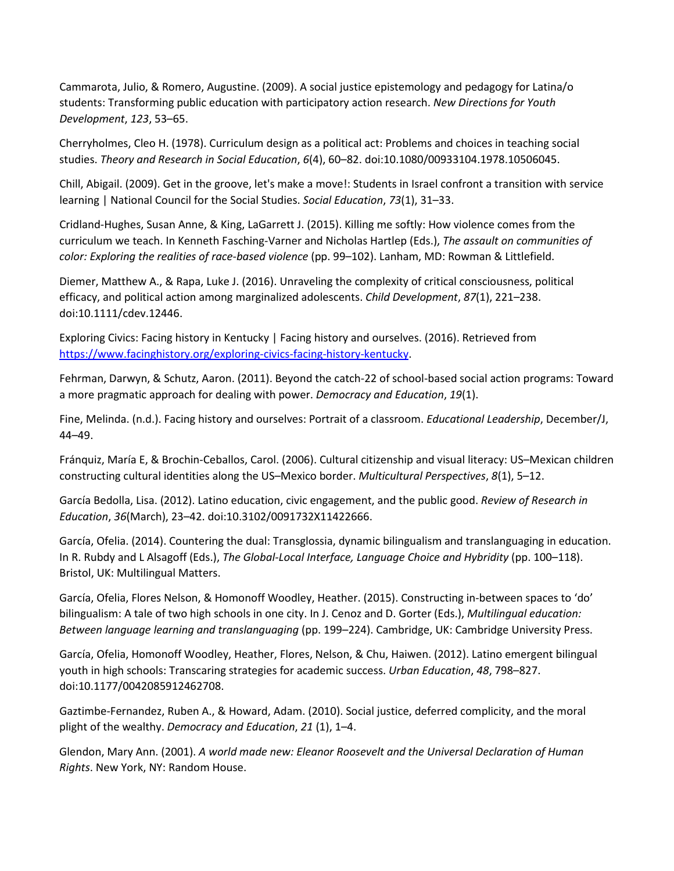<span id="page-13-5"></span>Cammarota, Julio, & Romero, Augustine. (2009). A social justice epistemology and pedagogy for Latina/o students: Transforming public education with participatory action research. *New Directions for Youth Development*, *123*, 53–65.

<span id="page-13-7"></span>Cherryholmes, Cleo H. (1978). Curriculum design as a political act: Problems and choices in teaching social studies. *Theory and Research in Social Education*, *6*(4), 60–82. doi:10.1080/00933104.1978.10506045.

<span id="page-13-3"></span>Chill, Abigail. (2009). Get in the groove, let's make a move!: Students in Israel confront a transition with service learning | National Council for the Social Studies. *Social Education*, *73*(1), 31–33.

<span id="page-13-0"></span>Cridland-Hughes, Susan Anne, & King, LaGarrett J. (2015). Killing me softly: How violence comes from the curriculum we teach. In Kenneth Fasching-Varner and Nicholas Hartlep (Eds.), *The assault on communities of color: Exploring the realities of race-based violence* (pp. 99–102). Lanham, MD: Rowman & Littlefield.

<span id="page-13-6"></span>Diemer, Matthew A., & Rapa, Luke J. (2016). Unraveling the complexity of critical consciousness, political efficacy, and political action among marginalized adolescents. *Child Development*, *87*(1), 221–238. doi:10.1111/cdev.12446.

Exploring Civics: Facing history in Kentucky | Facing history and ourselves. (2016). Retrieved from [https://www.facinghistory.org/exploring-civics-facing-history-kentucky.](https://www.facinghistory.org/exploring-civics-facing-history-kentucky)

<span id="page-13-4"></span>Fehrman, Darwyn, & Schutz, Aaron. (2011). Beyond the catch-22 of school-based social action programs: Toward a more pragmatic approach for dealing with power. *Democracy and Education*, *19*(1).

Fine, Melinda. (n.d.). Facing history and ourselves: Portrait of a classroom. *Educational Leadership*, December/J, 44–49.

<span id="page-13-2"></span>Fránquiz, María E, & Brochin-Ceballos, Carol. (2006). Cultural citizenship and visual literacy: US–Mexican children constructing cultural identities along the US–Mexico border. *Multicultural Perspectives*, *8*(1), 5–12.

García Bedolla, Lisa. (2012). Latino education, civic engagement, and the public good. *Review of Research in Education*, *36*(March), 23–42. doi:10.3102/0091732X11422666.

<span id="page-13-10"></span>García, Ofelia. (2014). Countering the dual: Transglossia, dynamic bilingualism and translanguaging in education. In R. Rubdy and L Alsagoff (Eds.), *The Global-Local Interface, Language Choice and Hybridity* (pp. 100–118). Bristol, UK: Multilingual Matters.

<span id="page-13-9"></span>García, Ofelia, Flores Nelson, & Homonoff Woodley, Heather. (2015). Constructing in-between spaces to 'do' bilingualism: A tale of two high schools in one city. In J. Cenoz and D. Gorter (Eds.), *Multilingual education: Between language learning and translanguaging* (pp. 199–224). Cambridge, UK: Cambridge University Press.

<span id="page-13-1"></span>García, Ofelia, Homonoff Woodley, Heather, Flores, Nelson, & Chu, Haiwen. (2012). Latino emergent bilingual youth in high schools: Transcaring strategies for academic success. *Urban Education*, *48*, 798–827. doi:10.1177/0042085912462708.

<span id="page-13-11"></span>Gaztimbe-Fernandez, Ruben A., & Howard, Adam. (2010). Social justice, deferred complicity, and the moral plight of the wealthy. *Democracy and Education*, *21* (1), 1–4.

<span id="page-13-8"></span>Glendon, Mary Ann. (2001). *A world made new: Eleanor Roosevelt and the Universal Declaration of Human Rights*. New York, NY: Random House.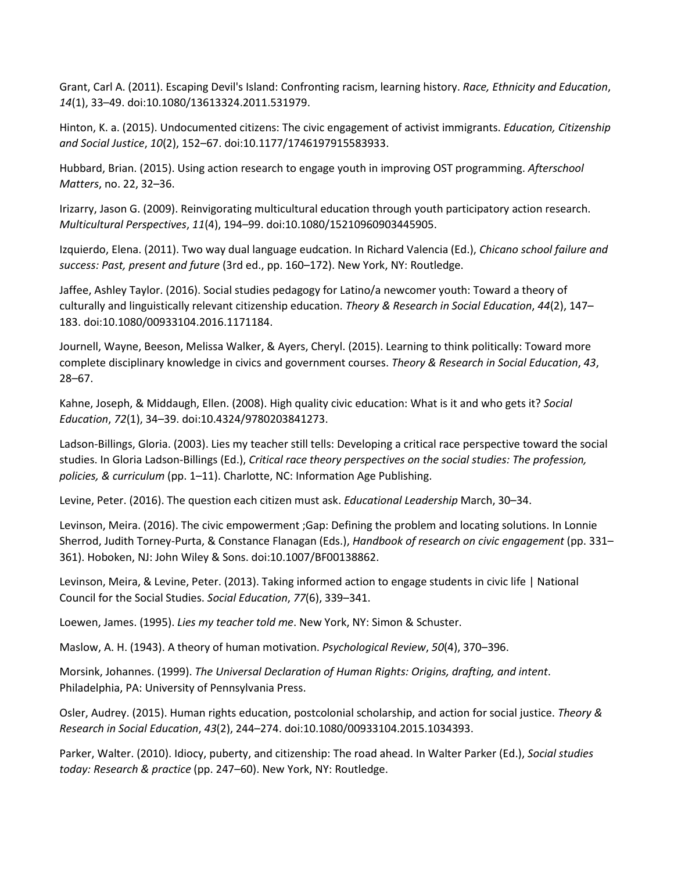<span id="page-14-1"></span>Grant, Carl A. (2011). Escaping Devil's Island: Confronting racism, learning history. *Race, Ethnicity and Education*, *14*(1), 33–49. doi:10.1080/13613324.2011.531979.

<span id="page-14-6"></span>Hinton, K. a. (2015). Undocumented citizens: The civic engagement of activist immigrants. *Education, Citizenship and Social Justice*, *10*(2), 152–67. doi:10.1177/1746197915583933.

<span id="page-14-7"></span>Hubbard, Brian. (2015). Using action research to engage youth in improving OST programming. *Afterschool Matters*, no. 22, 32–36.

<span id="page-14-8"></span>Irizarry, Jason G. (2009). Reinvigorating multicultural education through youth participatory action research. *Multicultural Perspectives*, *11*(4), 194–99. doi:10.1080/15210960903445905.

<span id="page-14-4"></span>Izquierdo, Elena. (2011). Two way dual language eudcation. In Richard Valencia (Ed.), *Chicano school failure and success: Past, present and future* (3rd ed., pp. 160–172). New York, NY: Routledge.

<span id="page-14-13"></span>Jaffee, Ashley Taylor. (2016). Social studies pedagogy for Latino/a newcomer youth: Toward a theory of culturally and linguistically relevant citizenship education. *Theory & Research in Social Education*, *44*(2), 147– 183. doi:10.1080/00933104.2016.1171184.

<span id="page-14-9"></span>Journell, Wayne, Beeson, Melissa Walker, & Ayers, Cheryl. (2015). Learning to think politically: Toward more complete disciplinary knowledge in civics and government courses. *Theory & Research in Social Education*, *43*, 28–67.

<span id="page-14-12"></span>Kahne, Joseph, & Middaugh, Ellen. (2008). High quality civic education: What is it and who gets it? *Social Education*, *72*(1), 34–39. doi:10.4324/9780203841273.

<span id="page-14-2"></span>Ladson-Billings, Gloria. (2003). Lies my teacher still tells: Developing a critical race perspective toward the social studies. In Gloria Ladson-Billings (Ed.), *Critical race theory perspectives on the social studies: The profession, policies, & curriculum* (pp. 1–11). Charlotte, NC: Information Age Publishing.

<span id="page-14-11"></span>Levine, Peter. (2016). The question each citizen must ask. *Educational Leadership* March, 30–34.

<span id="page-14-3"></span>Levinson, Meira. (2016). The civic empowerment ;Gap: Defining the problem and locating solutions. In Lonnie Sherrod, Judith Torney-Purta, & Constance Flanagan (Eds.), *Handbook of research on civic engagement* (pp. 331– 361). Hoboken, NJ: John Wiley & Sons. doi:10.1007/BF00138862.

Levinson, Meira, & Levine, Peter. (2013). Taking informed action to engage students in civic life | National Council for the Social Studies. *Social Education*, *77*(6), 339–341.

<span id="page-14-0"></span>Loewen, James. (1995). *Lies my teacher told me*. New York, NY: Simon & Schuster.

<span id="page-14-14"></span>Maslow, A. H. (1943). A theory of human motivation. *Psychological Review*, *50*(4), 370–396.

<span id="page-14-15"></span>Morsink, Johannes. (1999). *The Universal Declaration of Human Rights: Origins, drafting, and intent*. Philadelphia, PA: University of Pennsylvania Press.

<span id="page-14-10"></span>Osler, Audrey. (2015). Human rights education, postcolonial scholarship, and action for social justice. *Theory & Research in Social Education*, *43*(2), 244–274. doi:10.1080/00933104.2015.1034393.

<span id="page-14-5"></span>Parker, Walter. (2010). Idiocy, puberty, and citizenship: The road ahead. In Walter Parker (Ed.), *Social studies today: Research & practice* (pp. 247–60). New York, NY: Routledge.